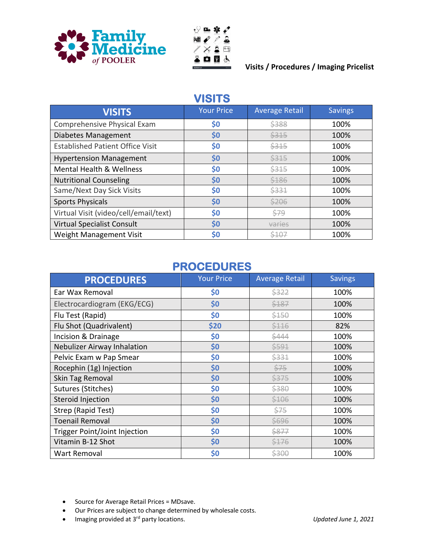



#### **Visits / Procedures / Imaging Pricelist**

#### **VISITS**

| <b>VISITS</b>                           | <b>Your Price</b> | <b>Average Retail</b> | <b>Savings</b> |
|-----------------------------------------|-------------------|-----------------------|----------------|
| Comprehensive Physical Exam             | \$0               | \$388                 | 100%           |
| Diabetes Management                     | \$0               | \$315                 | 100%           |
| <b>Established Patient Office Visit</b> | \$0               | \$315                 | 100%           |
| <b>Hypertension Management</b>          | \$0               | \$315                 | 100%           |
| <b>Mental Health &amp; Wellness</b>     | \$0               | \$315                 | 100%           |
| <b>Nutritional Counseling</b>           | \$0               | \$186                 | 100%           |
| Same/Next Day Sick Visits               | \$0               | \$331                 | 100%           |
| <b>Sports Physicals</b>                 | \$0               | \$206                 | 100%           |
| Virtual Visit (video/cell/email/text)   | \$0               | \$79                  | 100%           |
| <b>Virtual Specialist Consult</b>       | \$0               | varies                | 100%           |
| Weight Management Visit                 | \$0               | \$107                 | 100%           |

### **PROCEDURES**

| <b>PROCEDURES</b>             | <b>Your Price</b> | <b>Average Retail</b> | <b>Savings</b> |
|-------------------------------|-------------------|-----------------------|----------------|
| Ear Wax Removal               | \$0               | \$322                 | 100%           |
| Electrocardiogram (EKG/ECG)   | \$0               | \$187                 | 100%           |
| Flu Test (Rapid)              | \$0               | \$150                 | 100%           |
| Flu Shot (Quadrivalent)       | \$20              | \$116                 | 82%            |
| Incision & Drainage           | \$0               | \$444                 | 100%           |
| Nebulizer Airway Inhalation   | \$0               | \$591                 | 100%           |
| Pelvic Exam w Pap Smear       | \$0               | \$331                 | 100%           |
| Rocephin (1g) Injection       | \$0               | $\frac{575}{5}$       | 100%           |
| Skin Tag Removal              | \$0               | \$375                 | 100%           |
| Sutures (Stitches)            | \$0               | \$380                 | 100%           |
| Steroid Injection             | \$0               | \$106                 | 100%           |
| Strep (Rapid Test)            | \$0               | \$75                  | 100%           |
| <b>Toenail Removal</b>        | \$0               | \$696                 | 100%           |
| Trigger Point/Joint Injection | \$0               | \$877                 | 100%           |
| Vitamin B-12 Shot             | \$0               | \$176                 | 100%           |
| Wart Removal                  | \$0               | \$300                 | 100%           |

- Source for Average Retail Prices = MDsave.
- Our Prices are subject to change determined by wholesale costs.
- Imaging provided at 3rd party locations. *Updated June 1, 2021*